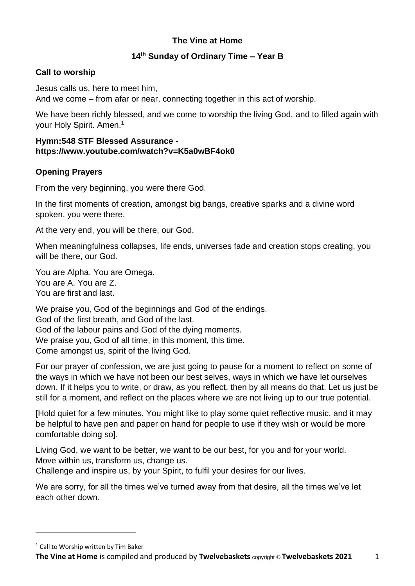# **The Vine at Home**

## **14th Sunday of Ordinary Time – Year B**

## **Call to worship**

Jesus calls us, here to meet him,

And we come – from afar or near, connecting together in this act of worship.

We have been richly blessed, and we come to worship the living God, and to filled again with your Holy Spirit. Amen.<sup>1</sup>

### **Hymn:548 STF Blessed Assurance https://www.youtube.com/watch?v=K5a0wBF4ok0**

## **Opening Prayers**

From the very beginning, you were there God.

In the first moments of creation, amongst big bangs, creative sparks and a divine word spoken, you were there.

At the very end, you will be there, our God.

When meaningfulness collapses, life ends, universes fade and creation stops creating, you will be there, our God.

You are Alpha. You are Omega. You are A. You are Z. You are first and last.

We praise you, God of the beginnings and God of the endings. God of the first breath, and God of the last. God of the labour pains and God of the dying moments. We praise you, God of all time, in this moment, this time. Come amongst us, spirit of the living God.

For our prayer of confession, we are just going to pause for a moment to reflect on some of the ways in which we have not been our best selves, ways in which we have let ourselves down. If it helps you to write, or draw, as you reflect, then by all means do that. Let us just be still for a moment, and reflect on the places where we are not living up to our true potential.

[Hold quiet for a few minutes. You might like to play some quiet reflective music, and it may be helpful to have pen and paper on hand for people to use if they wish or would be more comfortable doing so].

Living God, we want to be better, we want to be our best, for you and for your world. Move within us, transform us, change us.

Challenge and inspire us, by your Spirit, to fulfil your desires for our lives.

We are sorry, for all the times we've turned away from that desire, all the times we've let each other down.

<sup>&</sup>lt;sup>1</sup> Call to Worship written by Tim Baker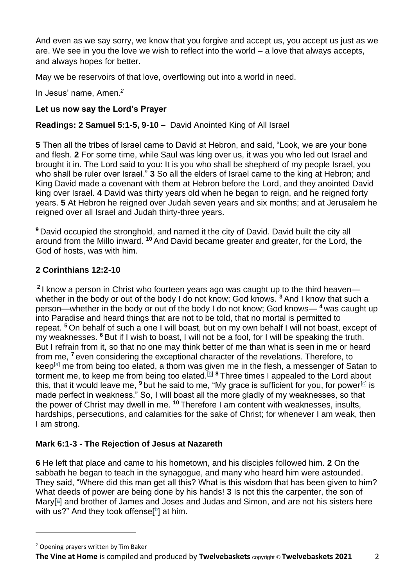And even as we say sorry, we know that you forgive and accept us, you accept us just as we are. We see in you the love we wish to reflect into the world – a love that always accepts, and always hopes for better.

May we be reservoirs of that love, overflowing out into a world in need.

In Jesus' name, Amen. *2*

# **Let us now say the Lord's Prayer**

## **Readings: 2 Samuel 5:1-5, 9-10 –** David Anointed King of All Israel

**5** Then all the tribes of Israel came to David at Hebron, and said, "Look, we are your bone and flesh. **2** For some time, while Saul was king over us, it was you who led out Israel and brought it in. The Lord said to you: It is you who shall be shepherd of my people Israel, you who shall be ruler over Israel." **3** So all the elders of Israel came to the king at Hebron; and King David made a covenant with them at Hebron before the Lord, and they anointed David king over Israel. **4** David was thirty years old when he began to reign, and he reigned forty years. **5** At Hebron he reigned over Judah seven years and six months; and at Jerusalem he reigned over all Israel and Judah thirty-three years.

**<sup>9</sup>** David occupied the stronghold, and named it the city of David. David built the city all around from the Millo inward. **<sup>10</sup>** And David became greater and greater, for the Lord, the God of hosts, was with him.

## **2 Corinthians 12:2-10**

**2** I know a person in Christ who fourteen years ago was caught up to the third heaven whether in the body or out of the body I do not know; God knows.<sup>3</sup> And I know that such a person—whether in the body or out of the body I do not know; God knows— **<sup>4</sup>** was caught up into Paradise and heard things that are not to be told, that no mortal is permitted to repeat. **<sup>5</sup>** On behalf of such a one I will boast, but on my own behalf I will not boast, except of my weaknesses. **<sup>6</sup>** But if I wish to boast, I will not be a fool, for I will be speaking the truth. But I refrain from it, so that no one may think better of me than what is seen in me or heard from me, **<sup>7</sup>** even considering the exceptional character of the revelations. Therefore, to keep<sup>[\[a\]](https://www.biblegateway.com/passage/?search=2+Corinthians+12%3A2-10&version=NRSV#fen-NRSV-29014a)</sup> me from being too elated, a thorn was given me in the flesh, a messenger of Satan to torment me, to keep me from being too elated.<sup>[\[b\]](https://www.biblegateway.com/passage/?search=2+Corinthians+12%3A2-10&version=NRSV#fen-NRSV-29014b) 8</sup> Three times I appealed to the Lord about this, that it would leave me, <sup>9</sup> but he said to me, "My grace is sufficient for you, for power<sup>[\[c\]](https://www.biblegateway.com/passage/?search=2+Corinthians+12%3A2-10&version=NRSV#fen-NRSV-29016c)</sup> is made perfect in weakness." So, I will boast all the more gladly of my weaknesses, so that the power of Christ may dwell in me. **<sup>10</sup>** Therefore I am content with weaknesses, insults, hardships, persecutions, and calamities for the sake of Christ; for whenever I am weak, then I am strong.

## **Mark 6:1-3 - The Rejection of Jesus at Nazareth**

**6** He left that place and came to his hometown, and his disciples followed him. **2** On the sabbath he began to teach in the synagogue, and many who heard him were astounded. They said, "Where did this man get all this? What is this wisdom that has been given to him? What deeds of power are being done by his hands! **3** Is not this the carpenter, the son of M[a](https://www.biblegateway.com/passage/?search=Mark+6%3A1-3&version=NRSV#fen-NRSV-24408a)ry[<sup>a</sup>] and brother of James and Joses and Judas and Simon, and are not his sisters here with us?" And they took offense[ $b$ ] at him.

<sup>2</sup> Opening prayers written by Tim Baker

**The Vine at Home** is compiled and produced by **Twelvebaskets** copyright © **Twelvebaskets 2021** 2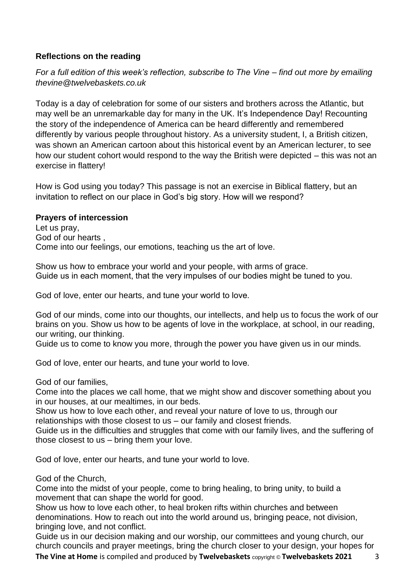## **Reflections on the reading**

*For a full edition of this week's reflection, subscribe to The Vine – find out more by emailing thevine@twelvebaskets.co.uk*

Today is a day of celebration for some of our sisters and brothers across the Atlantic, but may well be an unremarkable day for many in the UK. It's Independence Day! Recounting the story of the independence of America can be heard differently and remembered differently by various people throughout history. As a university student, I, a British citizen, was shown an American cartoon about this historical event by an American lecturer, to see how our student cohort would respond to the way the British were depicted – this was not an exercise in flattery!

How is God using you today? This passage is not an exercise in Biblical flattery, but an invitation to reflect on our place in God's big story. How will we respond?

### **Prayers of intercession**

Let us pray, God of our hearts , Come into our feelings, our emotions, teaching us the art of love.

Show us how to embrace your world and your people, with arms of grace. Guide us in each moment, that the very impulses of our bodies might be tuned to you. 

God of love, enter our hearts, and tune your world to love.  

God of our minds, come into our thoughts, our intellects, and help us to focus the work of our brains on you. Show us how to be agents of love in the workplace, at school, in our reading, our writing, our thinking.

Guide us to come to know you more, through the power you have given us in our minds.

God of love, enter our hearts, and tune your world to love.  

God of our families,

Come into the places we call home, that we might show and discover something about you in our houses, at our mealtimes, in our beds.

Show us how to love each other, and reveal your nature of love to us, through our relationships with those closest to us – our family and closest friends.

Guide us in the difficulties and struggles that come with our family lives, and the suffering of those closest to us – bring them your love.

God of love, enter our hearts, and tune your world to love.  

God of the Church,

Come into the midst of your people, come to bring healing, to bring unity, to build a movement that can shape the world for good.

Show us how to love each other, to heal broken rifts within churches and between denominations. How to reach out into the world around us, bringing peace, not division, bringing love, and not conflict.

**The Vine at Home** is compiled and produced by **Twelvebaskets** copyright © **Twelvebaskets 2021** 3 Guide us in our decision making and our worship, our committees and young church, our church councils and prayer meetings, bring the church closer to your design, your hopes for